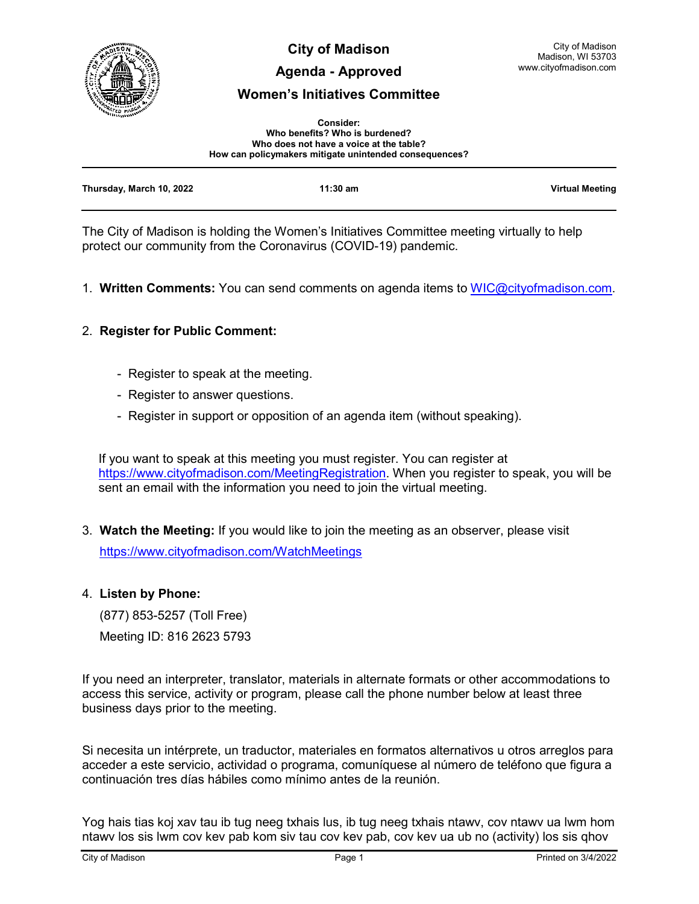

**City of Madison**

# **Agenda - Approved**

# **Women's Initiatives Committee**

| <b>Consider:</b>                                       |
|--------------------------------------------------------|
| Who benefits? Who is burdened?                         |
| Who does not have a voice at the table?                |
| How can policymakers mitigate unintended consequences? |

| Thursday, March 10, 2022 | $11:30$ am | <b>Virtual Meeting</b> |
|--------------------------|------------|------------------------|
|                          |            |                        |

The City of Madison is holding the Women's Initiatives Committee meeting virtually to help protect our community from the Coronavirus (COVID-19) pandemic.

1. **Written Comments:** You can send comments on agenda items to [WIC@cityofmadison.com.](mailto:WIC@cityofmadison.com)

# 2. **Register for Public Comment:**

- Register to speak at the meeting.
- Register to answer questions.
- Register in support or opposition of an agenda item (without speaking).

If you want to speak at this meeting you must register. You can register at [https://www.cityofmadison.com/MeetingRegistration.](https://www.cityofmadison.com/MeetingRegistration) When you register to speak, you will be sent an email with the information you need to join the virtual meeting.

3. **Watch the Meeting:** If you would like to join the meeting as an observer, please visit <https://www.cityofmadison.com/WatchMeetings>

### 4. **Listen by Phone:**

 (877) 853-5257 (Toll Free) Meeting ID: 816 2623 5793

If you need an interpreter, translator, materials in alternate formats or other accommodations to access this service, activity or program, please call the phone number below at least three business days prior to the meeting.

Si necesita un intérprete, un traductor, materiales en formatos alternativos u otros arreglos para acceder a este servicio, actividad o programa, comuníquese al número de teléfono que figura a continuación tres días hábiles como mínimo antes de la reunión.

Yog hais tias koj xav tau ib tug neeg txhais lus, ib tug neeg txhais ntawv, cov ntawv ua lwm hom ntawv los sis lwm cov kev pab kom siv tau cov kev pab, cov kev ua ub no (activity) los sis qhov